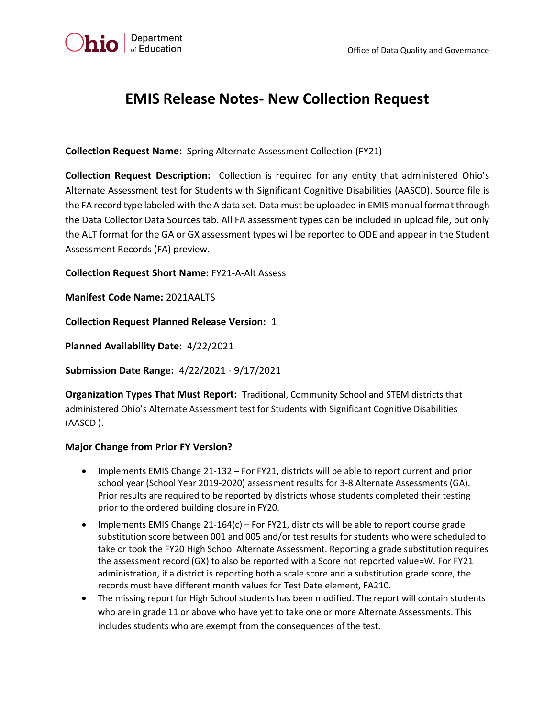

## **EMIS Release Notes- New Collection Request**

**Collection Request Name:** Spring Alternate Assessment Collection (FY21)

**Collection Request Description:** Collection is required for any entity that administered Ohio's Alternate Assessment test for Students with Significant Cognitive Disabilities (AASCD). Source file is the FA record type labeled with the A data set. Data must be uploaded in EMIS manual format through the Data Collector Data Sources tab. All FA assessment types can be included in upload file, but only the ALT format for the GA or GX assessment types will be reported to ODE and appear in the Student Assessment Records (FA) preview.

**Collection Request Short Name:** FY21-A-Alt Assess

**Manifest Code Name:** 2021AALTS

**Collection Request Planned Release Version:** 1

**Planned Availability Date:** 4/22/2021

**Submission Date Range:** 4/22/2021 - 9/17/2021

**Organization Types That Must Report:** Traditional, Community School and STEM districts that administered Ohio's Alternate Assessment test for Students with Significant Cognitive Disabilities (AASCD ).

## **Major Change from Prior FY Version?**

- Implements EMIS Change 21-132 For FY21, districts will be able to report current and prior school year (School Year 2019-2020) assessment results for 3-8 Alternate Assessments (GA). Prior results are required to be reported by districts whose students completed their testing prior to the ordered building closure in FY20.
- Implements EMIS Change  $21-164(c)$  For FY21, districts will be able to report course grade substitution score between 001 and 005 and/or test results for students who were scheduled to take or took the FY20 High School Alternate Assessment. Reporting a grade substitution requires the assessment record (GX) to also be reported with a Score not reported value=W. For FY21 administration, if a district is reporting both a scale score and a substitution grade score, the records must have different month values for Test Date element, FA210.
- The missing report for High School students has been modified. The report will contain students who are in grade 11 or above who have yet to take one or more Alternate Assessments. This includes students who are exempt from the consequences of the test.